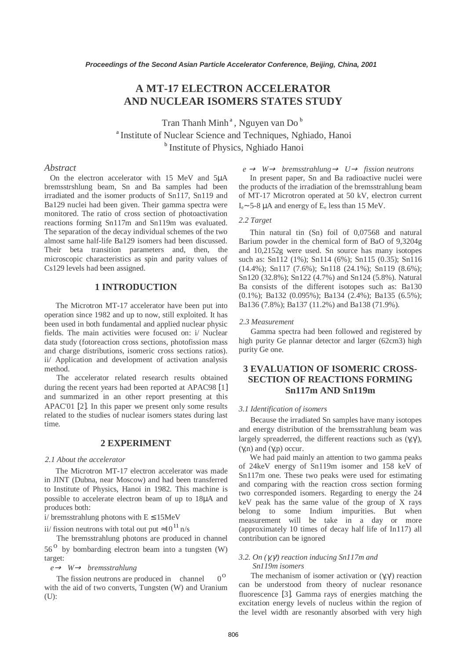# **A MT-17 ELECTRON ACCELERATOR AND NUCLEAR ISOMERS STATES STUDY**

Tran Thanh Minh<sup>a</sup>, Nguyen van Do<sup>b</sup> <sup>a</sup> Institute of Nuclear Science and Techniques, Nghiado, Hanoi <sup>b</sup> Institute of Physics, Nghiado Hanoi

### *Abstract*

 On the electron accelerator with 15 MeV and 5µA bremsstrshlung beam, Sn and Ba samples had been irradiated and the isomer products of Sn117, Sn119 and Ba129 nuclei had been given. Their gamma spectra were monitored. The ratio of cross section of photoactivation reactions forming Sn117m and Sn119m was evaluated. The separation of the decay individual schemes of the two almost same half-life Ba129 isomers had been discussed. Their beta transition parameters and, then, the microscopic characteristics as spin and parity values of Cs129 levels had been assigned.

### **1 INTRODUCTION**

The Microtron MT-17 accelerator have been put into operation since 1982 and up to now, still exploited. It has been used in both fundamental and applied nuclear physic fields. The main activities were focused on: i/ Nuclear data study (fotoreaction cross sections, photofission mass and charge distributions, isomeric cross sections ratios). ii/ Application and development of activation analysis method.

The accelerator related research results obtained during the recent years had been reported at APAC98 [1] and summarized in an other report presenting at this APAC'01 [2]. In this paper we present only some results related to the studies of nuclear isomers states during last time.

### **2 EXPERIMENT**

#### *2.1 About the accelerator*

The Microtron MT-17 electron accelerator was made in JINT (Dubna, near Moscow) and had been transferred to Institute of Physics, Hanoi in 1982. This machine is possible to accelerate electron beam of up to 18µA and produces both:

i/ bremsstrahlung photons with  $E \le 15MeV$ 

ii/ fission neutrons with total out put  $\approx 10^{11}$  n/s

The bremsstrahlung photons are produced in channel  $56<sup>o</sup>$  by bombarding electron beam into a tungsten (W) target:

#### *e*<sup>→</sup> *W*→ *bremsstrahlung*

The fission neutrons are produced in channel  $0^0$ with the aid of two converts, Tungsten (W) and Uranium (U):

 $e \rightarrow W \rightarrow b$  *remsstrahlung*  $\rightarrow U \rightarrow f$  *ission neutrons* 

In present paper, Sn and Ba radioactive nuclei were the products of the irradiation of the bremsstrahlung beam of MT-17 Microtron operated at 50 kV, electron current  $I_e$ ~ 5-8 µA and energy of  $E_e$  less than 15 MeV.

#### *2.2 Target*

 Thin natural tin (Sn) foil of 0,07568 and natural Barium powder in the chemical form of BaO of 9,3204g and 10,2152g were used. Sn source has many isotopes such as: Sn112 (1%); Sn114 (6%); Sn115 (0.35); Sn116 (14.4%); Sn117 (7.6%); Sn118 (24.1%); Sn119 (8.6%); Sn120 (32.8%); Sn122 (4.7%) and Sn124 (5.8%). Natural Ba consists of the different isotopes such as: Ba130 (0.1%); Ba132 (0.095%); Ba134 (2.4%); Ba135 (6.5%); Ba136 (7.8%); Ba137 (11.2%) and Ba138 (71.9%).

#### *2.3 Measurement*

Gamma spectra had been followed and registered by high purity Ge plannar detector and larger (62cm3) high purity Ge one.

## **3 EVALUATION OF ISOMERIC CROSS-SECTION OF REACTIONS FORMING Sn117m AND Sn119m**

#### *3.1 Identification of isomers*

 Because the irradiated Sn samples have many isotopes and energy distribution of the bremsstrahlung beam was largely spreaderred, the different reactions such as (γ,γ'), (γ,n) and (γ,p) occur.

 We had paid mainly an attention to two gamma peaks of 24keV energy of Sn119m isomer and 158 keV of Sn117m one. These two peaks were used for estimating and comparing with the reaction cross section forming two corresponded isomers. Regarding to energy the 24 keV peak has the same value of the group of X rays belong to some Indium impurities. But when measurement will be take in a day or more (approximately 10 times of decay half life of In117) all contribution can be ignored

#### *3.2. On (*γ*,*γ*') reaction inducing Sn117m and Sn119m isomers*

The mechanism of isomer activation or  $(\gamma, \gamma')$  reaction can be understood from theory of nuclear resonance fluorescence [3]. Gamma rays of energies matching the excitation energy levels of nucleus within the region of the level width are resonantly absorbed with very high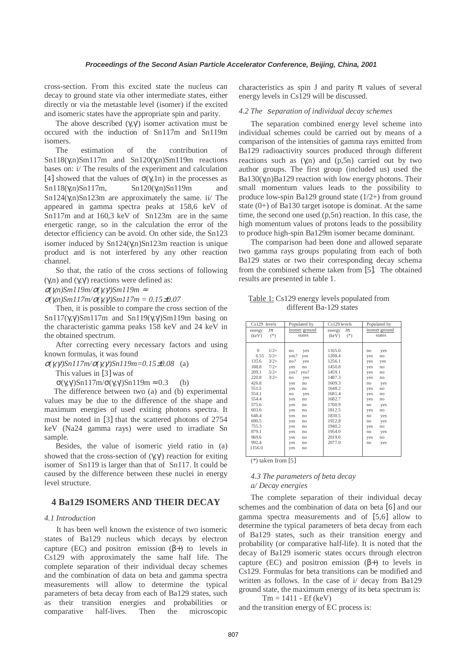cross-section. From this excited state the nucleus can decay to ground state via other intermediate states, either directly or via the metastable level (isomer) if the excited and isomeric states have the appropriate spin and parity.

The above described  $(γ, γ')$  isomer activation must be occured with the induction of Sn117m and Sn119m isomers.

The estimation of the contribution of Sn118(γ,n)Sm117m and Sn120(γ,n)Sm119m reactions bases on: i/ The results of the experiment and calculation [4] showed that the values of  $\sigma(\gamma,1n)$  in the processes as Sn118(γ,n)Sn117m, Sn120(γ,n)Sn119m and Sn124(γ,n)Sn123m are approximately the same. ii/ The appeared in gamma spectra peaks at 158,6 keV of Sn117m and at 160,3 keV of Sn123m are in the same energetic range, so in the calculation the error of the detector efficiency can be avoid. On other side, the Sn123 isomer induced by  $Sn124(\gamma,n)Sn123m$  reaction is unique product and is not interfered by any other reaction channel.

So that, the ratio of the cross sections of following (γ,n) and (γ,γ') reactions were defined as:

<sup>σ</sup>*(*γ*,n)Sm119m/*σ*(*γ*,*γ*')Sm119m* <sup>≈</sup>

<sup>σ</sup>*(*γ*,n)Sm117m/*σ*(*γ*,*γ*')Sm117m = 0.15*±*0.07* 

Then, it is possible to compare the cross section of the Sn117(γ,γ')Sm117m and Sn119(γ,γ')Sm119m basing on the characteristic gamma peaks 158 keV and 24 keV in the obtained spectrum.

After correcting every necessary factors and using known formulas, it was found

<sup>σ</sup>*(*γ*,*γ*')Sn117m/*σ*(*γ*,*γ*')Sn119m=0.15*±*0.08* (a)

This values in [3] was of

 $σ(γ, γ')Sn117m/σ(γ, γ')Sn119m ≈ 0.3$  (b)

 The difference between two (a) and (b) experimental values may be due to the difference of the shape and maximum energies of used exiting photons spectra. It must be noted in [3] that the scattered photons of 2754 keV (Na24 gamma rays) were used to irradiate Sn sample.

 Besides, the value of isomeric yield ratio in (a) showed that the cross-section of  $(\gamma, \gamma')$  reaction for exiting isomer of Sn119 is larger than that of Sn117. It could be caused by the difference between these nuclei in energy level structure.

### **4 Ba129 ISOMERS AND THEIR DECAY**

#### *4.1 Introduction*

It has been well known the existence of two isomeric states of Ba129 nucleus which decays by electron capture (EC) and positron emission  $(\beta+)$  to levels in Cs129 with approximately the same half life. The complete separation of their individual decay schemes and the combination of data on beta and gamma spectra measurements will allow to determine the typical parameters of beta decay from each of Ba129 states, such as their transition energies and probabilities or comparative half-lives. Then the microscopic

characteristics as spin J and parity  $\pi$  values of several energy levels in Cs129 will be discussed.

#### *4.2 The* s*eparation of individual decay schemes*

The separation combined energy level scheme into individual schemes could be carried out by means of a comparison of the intensities of gamma rays emitted from Ba129 radioactivity sources produced through different reactions such as  $(γ, n)$  and  $(p, 5n)$  carried out by two author groups. The first group (included us) used the Ba130(γ,n)Ba129 reaction with low energy photons. Their small momentum values leads to the possibility to produce low-spin Ba129 ground state (1/2+) from ground state (0+) of Ba130 target isotope is dominat. At the same time, the second one used (p,5n) reaction. In this case, the high momentum values of protons leads to the possibility to produce high-spin Ba129m isomer became dominant.

The comparison had been done and allowed separate two gamma rays groups populating from each of both Ba129 states or two their corresponding decay schema from the combined scheme taken from [5]. The obtained results are presented in table 1.

Table 1: Cs129 energy levels populated from different Ba-129 states

| $Cs129$ levels                 | Populated by            | Cs129 levels                   | Populated by            |
|--------------------------------|-------------------------|--------------------------------|-------------------------|
| Jπ<br>energy<br>$(*)$<br>(keV) | isomer ground<br>states | Jπ<br>energy<br>$(*)$<br>(keV) | isomer ground<br>states |
|                                |                         |                                |                         |
|                                |                         |                                |                         |
| $\mathbf{0}$<br>$1/2+$         | yes<br>no               | 1165.0                         | yes<br>no               |
| 6.55<br>$5/2+$                 | yes?<br>yes             | 1208.4                         | yes<br>no               |
| $3/2+$<br>135.6                | no?<br>yes              | 1256.1                         | yes<br>yes              |
| 188.8<br>$7/2+$                | yes<br>no               | 1450.8                         | yes<br>no               |
| 209.1<br>$5/2+$                | yes?<br>yes?            | 1459.1                         | yes<br>no               |
| 220.8<br>$3/2+$                | yes<br>no               | 1487.3                         | yes<br>no               |
| 426.8                          | no<br>yes               | 1609.3                         | no<br>yes               |
| 551.5                          | ves<br>no               | 1648.2                         | yes<br>no               |
| 554.1                          | yes<br>no               | 1681.4                         | yes<br>no               |
| 554.4                          | yes<br>no               | 1682.7                         | yes<br>no               |
| 575.6                          | yes<br>no               | 1700.9                         | no<br>yes               |
| 603.6                          | yes<br>no               | 1812.5                         | yes<br>no               |
| 648.4                          | yes<br>no               | 1830.5                         | yes<br>no               |
| 690.5                          | yes<br>no               | 1922.8                         | no<br>yes               |
| 755.3                          | yes<br>no               | 1940.2                         | no<br>yes               |
| 879.1                          | yes<br>no               | 1954.0                         | no<br>yes               |
| 969.6                          | yes<br>no               | 2019.0                         | yes<br>no               |
| 992.4                          | yes<br>no               | 2077.0                         | no<br>yes               |
| 1156.0                         | yes<br>no               |                                |                         |
|                                |                         |                                |                         |

(\*) taken from [5]

#### *4.3 The parameters of beta decay a/ Decay energies*

The complete separation of their individual decay schemes and the combination of data on beta [6] and our gamma spectra measurements and of [5,6] allow to determine the typical parameters of beta decay from each of Ba129 states, such as their transition energy and probability (or comparative half-life). It is noted that the decay of Ba129 isomeric states occurs through electron capture (EC) and positron emission  $(\beta+)$  to levels in Cs129. Formulas for beta transitions can be modified and written as follows. In the case of i/ decay from Ba129 ground state, the maximum energy of its beta spectrum is:

 $Tm = 1411 - Ef (keV)$ and the transition energy of EC process is: